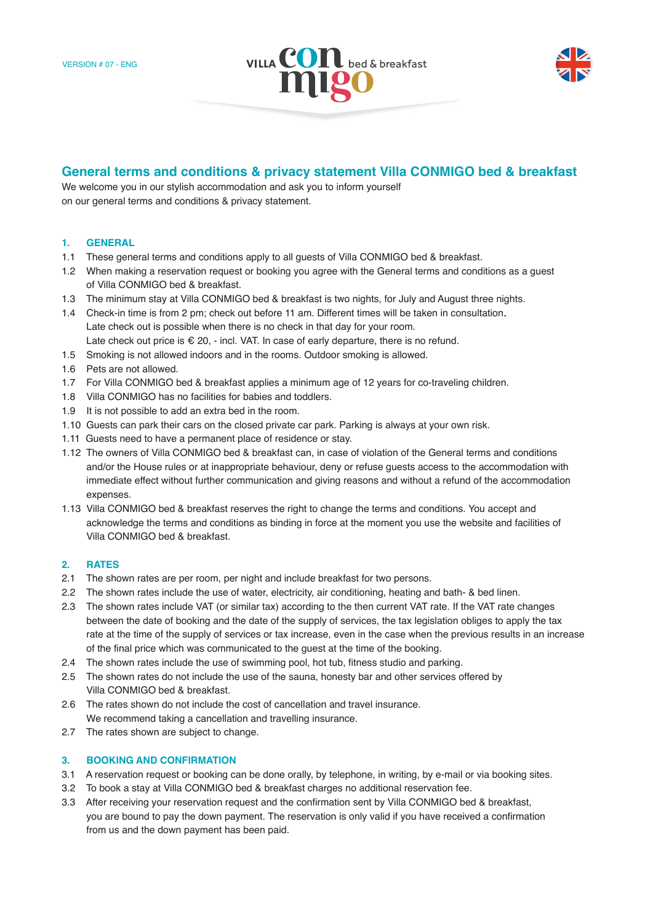



# **General terms and conditions & privacy statement Villa CONMIGO bed & breakfast**

We welcome you in our stylish accommodation and ask you to inform yourself on our general terms and conditions & privacy statement.

### **1. GENERAL**

- 1.1 These general terms and conditions apply to all guests of Villa CONMIGO bed & breakfast.
- 1.2 When making a reservation request or booking you agree with the General terms and conditions as a guest of Villa CONMIGO bed & breakfast.
- 1.3 The minimum stay at Villa CONMIGO bed & breakfast is two nights, for July and August three nights.
- 1.4 Check-in time is from 2 pm; check out before 11 am. Different times will be taken in consultation. Late check out is possible when there is no check in that day for your room. Late check out price is  $\epsilon$  20, - incl. VAT. In case of early departure, there is no refund.
- 1.5 Smoking is not allowed indoors and in the rooms. Outdoor smoking is allowed.
- 1.6 Pets are not allowed.
- 1.7 For Villa CONMIGO bed & breakfast applies a minimum age of 12 years for co-traveling children.
- 1.8 Villa CONMIGO has no facilities for babies and toddlers.
- 1.9 It is not possible to add an extra bed in the room.
- 1.10 Guests can park their cars on the closed private car park. Parking is always at your own risk.
- 1.11 Guests need to have a permanent place of residence or stay.
- 1.12 The owners of Villa CONMIGO bed & breakfast can, in case of violation of the General terms and conditions and/or the House rules or at inappropriate behaviour, deny or refuse guests access to the accommodation with immediate effect without further communication and giving reasons and without a refund of the accommodation expenses.
- 1.13 Villa CONMIGO bed & breakfast reserves the right to change the terms and conditions. You accept and acknowledge the terms and conditions as binding in force at the moment you use the website and facilities of Villa CONMIGO bed & breakfast.

# **2. RATES**

- 2.1 The shown rates are per room, per night and include breakfast for two persons.
- 2.2 The shown rates include the use of water, electricity, air conditioning, heating and bath- & bed linen.
- 2.3 The shown rates include VAT (or similar tax) according to the then current VAT rate. If the VAT rate changes between the date of booking and the date of the supply of services, the tax legislation obliges to apply the tax rate at the time of the supply of services or tax increase, even in the case when the previous results in an increase of the final price which was communicated to the guest at the time of the booking.
- 2.4 The shown rates include the use of swimming pool, hot tub, fitness studio and parking.
- 2.5 The shown rates do not include the use of the sauna, honesty bar and other services offered by Villa CONMIGO bed & breakfast.
- 2.6 The rates shown do not include the cost of cancellation and travel insurance. We recommend taking a cancellation and travelling insurance.
- 2.7 The rates shown are subiect to change.

# **3. BOOKING AND CONFIRMATION**

- 3.1 A reservation request or booking can be done orally, by telephone, in writing, by e-mail or via booking sites.
- 3.2 To book a stay at Villa CONMIGO bed & breakfast charges no additional reservation fee.
- 3.3 After receiving your reservation request and the confirmation sent by Villa CONMIGO bed & breakfast, you are bound to pay the down payment. The reservation is only valid if you have received a confirmation from us and the down payment has been paid.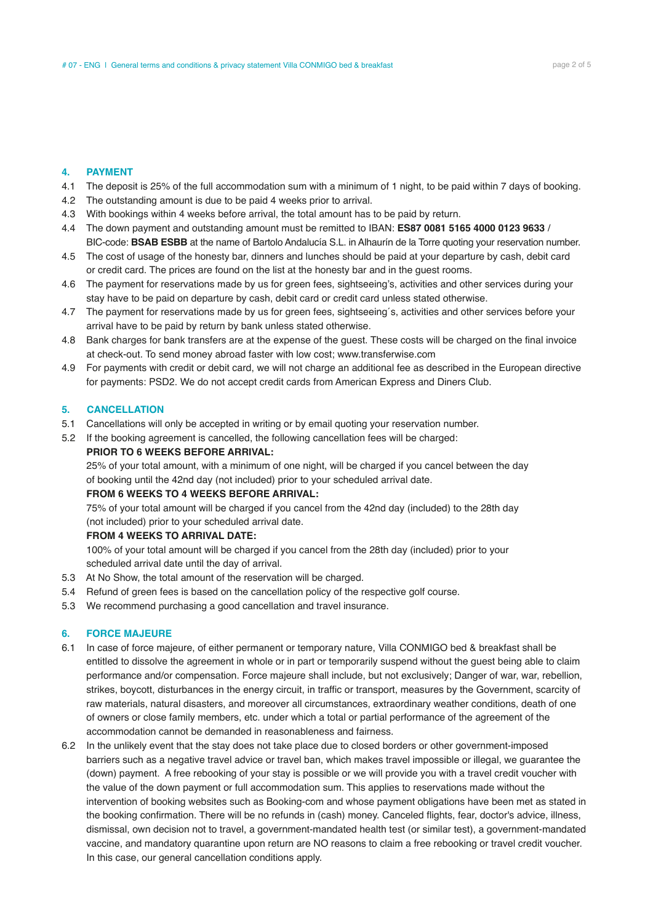#### **4. PAYMENT**

- 4.1 The deposit is 25% of the full accommodation sum with a minimum of 1 night, to be paid within 7 days of booking.
- 4.2 The outstanding amount is due to be paid 4 weeks prior to arrival.
- 4.3 With bookings within 4 weeks before arrival, the total amount has to be paid by return.
- 4.4 The down payment and outstanding amount must be remitted to IBAN: **ES87 0081 5165 4000 0123 9633** / BIC-code: **BSAB ESBB** at the name of Bartolo Andalucía S.L. in Alhaurín de la Torre quoting your reservation number.
- 4.5 The cost of usage of the honesty bar, dinners and lunches should be paid at your departure by cash, debit card or credit card. The prices are found on the list at the honesty bar and in the guest rooms.
- 4.6 The payment for reservations made by us for green fees, sightseeing's, activities and other services during your stay have to be paid on departure by cash, debit card or credit card unless stated otherwise.
- 4.7 The payment for reservations made by us for green fees, sightseeing´s, activities and other services before your arrival have to be paid by return by bank unless stated otherwise.
- 4.8 Bank charges for bank transfers are at the expense of the guest. These costs will be charged on the final invoice at check-out. To send money abroad faster with low cost; www.transferwise.com
- 4.9 For payments with credit or debit card, we will not charge an additional fee as described in the European directive for payments: PSD2. We do not accept credit cards from American Express and Diners Club.

#### **5. CANCELLATION**

- 5.1 Cancellations will only be accepted in writing or by email quoting your reservation number.
- 5.2 If the booking agreement is cancelled, the following cancellation fees will be charged: **PRIOR TO 6 WEEKS BEFORE ARRIVAL:**

 25% of your total amount, with a minimum of one night, will be charged if you cancel between the day of booking until the 42nd day (not included) prior to your scheduled arrival date.

#### **FROM 6 WEEKS TO 4 WEEKS BEFORE ARRIVAL:**

 75% of your total amount will be charged if you cancel from the 42nd day (included) to the 28th day (not included) prior to your scheduled arrival date.

#### **FROM 4 WEEKS TO ARRIVAL DATE:**

 100% of your total amount will be charged if you cancel from the 28th day (included) prior to your scheduled arrival date until the day of arrival.

- 5.3 At No Show, the total amount of the reservation will be charged.
- 5.4 Refund of green fees is based on the cancellation policy of the respective golf course.
- 5.3 We recommend purchasing a good cancellation and travel insurance.

#### **6. FORCE MAJEURE**

- 6.1 In case of force majeure, of either permanent or temporary nature, Villa CONMIGO bed & breakfast shall be entitled to dissolve the agreement in whole or in part or temporarily suspend without the guest being able to claim performance and/or compensation. Force majeure shall include, but not exclusively; Danger of war, war, rebellion, strikes, boycott, disturbances in the energy circuit, in traffic or transport, measures by the Government, scarcity of raw materials, natural disasters, and moreover all circumstances, extraordinary weather conditions, death of one of owners or close family members, etc. under which a total or partial performance of the agreement of the accommodation cannot be demanded in reasonableness and fairness.
- 6.2 In the unlikely event that the stay does not take place due to closed borders or other government-imposed barriers such as a negative travel advice or travel ban, which makes travel impossible or illegal, we guarantee the (down) payment. A free rebooking of your stay is possible or we will provide you with a travel credit voucher with the value of the down payment or full accommodation sum. This applies to reservations made without the intervention of booking websites such as Booking-com and whose payment obligations have been met as stated in the booking confirmation. There will be no refunds in (cash) money. Canceled flights, fear, doctor's advice, illness, dismissal, own decision not to travel, a government-mandated health test (or similar test), a government-mandated vaccine, and mandatory quarantine upon return are NO reasons to claim a free rebooking or travel credit voucher. In this case, our general cancellation conditions apply.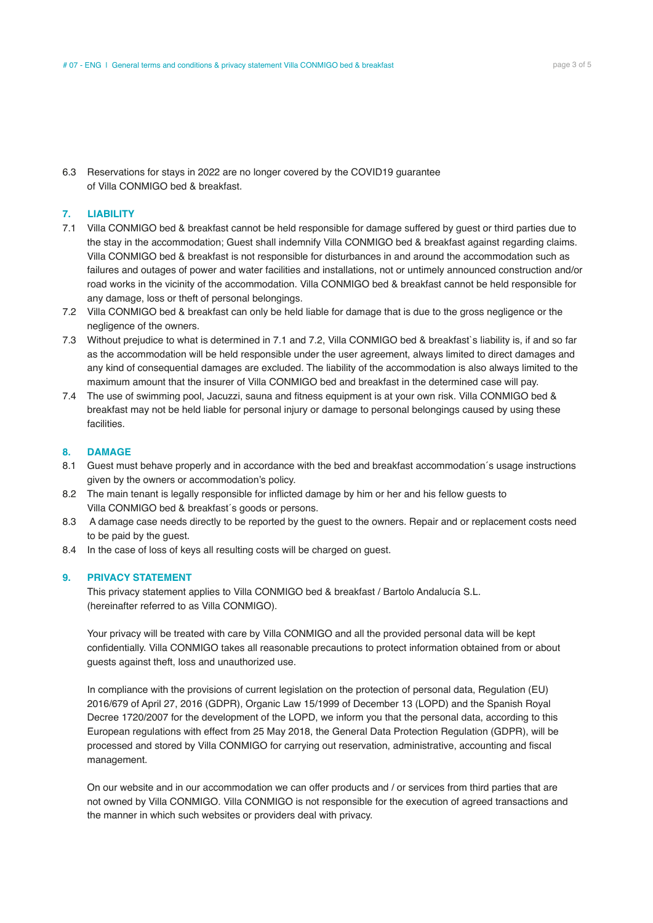6.3 Reservations for stays in 2022 are no longer covered by the COVID19 guarantee of Villa CONMIGO bed & breakfast.

# **7. LIABILITY**

- 7.1 Villa CONMIGO bed & breakfast cannot be held responsible for damage suffered by guest or third parties due to the stay in the accommodation; Guest shall indemnify Villa CONMIGO bed & breakfast against regarding claims. Villa CONMIGO bed & breakfast is not responsible for disturbances in and around the accommodation such as failures and outages of power and water facilities and installations, not or untimely announced construction and/or road works in the vicinity of the accommodation. Villa CONMIGO bed & breakfast cannot be held responsible for any damage, loss or theft of personal belongings.
- 7.2 Villa CONMIGO bed & breakfast can only be held liable for damage that is due to the gross negligence or the negligence of the owners.
- 7.3 Without prejudice to what is determined in 7.1 and 7.2, Villa CONMIGO bed & breakfast`s liability is, if and so far as the accommodation will be held responsible under the user agreement, always limited to direct damages and any kind of consequential damages are excluded. The liability of the accommodation is also always limited to the maximum amount that the insurer of Villa CONMIGO bed and breakfast in the determined case will pay.
- 7.4 The use of swimming pool, Jacuzzi, sauna and fitness equipment is at your own risk. Villa CONMIGO bed & breakfast may not be held liable for personal injury or damage to personal belongings caused by using these facilities.

#### **8. DAMAGE**

- 8.1 Guest must behave properly and in accordance with the bed and breakfast accommodation´s usage instructions given by the owners or accommodation's policy.
- 8.2 The main tenant is legally responsible for inflicted damage by him or her and his fellow guests to Villa CONMIGO bed & breakfast´s goods or persons.
- 8.3 A damage case needs directly to be reported by the guest to the owners. Repair and or replacement costs need to be paid by the guest.
- 8.4 In the case of loss of keys all resulting costs will be charged on guest.

#### **9. PRIVACY STATEMENT**

 This privacy statement applies to Villa CONMIGO bed & breakfast / Bartolo Andalucía S.L. (hereinafter referred to as Villa CONMIGO).

 Your privacy will be treated with care by Villa CONMIGO and all the provided personal data will be kept confidentially. Villa CONMIGO takes all reasonable precautions to protect information obtained from or about guests against theft, loss and unauthorized use.

 In compliance with the provisions of current legislation on the protection of personal data, Regulation (EU) 2016/679 of April 27, 2016 (GDPR), Organic Law 15/1999 of December 13 (LOPD) and the Spanish Royal Decree 1720/2007 for the development of the LOPD, we inform you that the personal data, according to this European regulations with effect from 25 May 2018, the General Data Protection Regulation (GDPR), will be processed and stored by Villa CONMIGO for carrying out reservation, administrative, accounting and fiscal management.

 On our website and in our accommodation we can offer products and / or services from third parties that are not owned by Villa CONMIGO. Villa CONMIGO is not responsible for the execution of agreed transactions and the manner in which such websites or providers deal with privacy.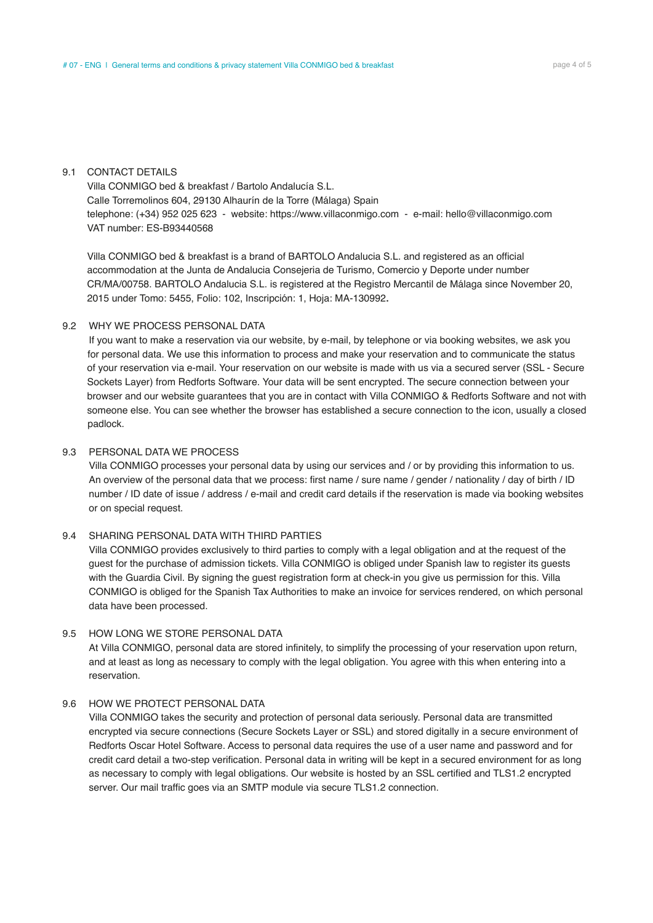#### 9.1 CONTACT DETAILS

 Villa CONMIGO bed & breakfast / Bartolo Andalucía S.L. Calle Torremolinos 604, 29130 Alhaurín de la Torre (Málaga) Spain telephone: (+34) 952 025 623 - website: https://www.villaconmigo.com - e-mail: hello@villaconmigo.com VAT number: ES-B93440568

 Villa CONMIGO bed & breakfast is a brand of BARTOLO Andalucia S.L. and registered as an official accommodation at the Junta de Andalucia Consejeria de Turismo, Comercio y Deporte under number CR/MA/00758. BARTOLO Andalucia S.L. is registered at the Registro Mercantil de Málaga since November 20, 2015 under Tomo: 5455, Folio: 102, Inscripción: 1, Hoja: MA-130992.

#### 9.2 WHY WE PROCESS PERSONAL DATA

If you want to make a reservation via our website, by e-mail, by telephone or via booking websites, we ask you for personal data. We use this information to process and make your reservation and to communicate the status of your reservation via e-mail. Your reservation on our website is made with us via a secured server (SSL - Secure Sockets Layer) from Redforts Software. Your data will be sent encrypted. The secure connection between your browser and our website guarantees that you are in contact with Villa CONMIGO & Redforts Software and not with someone else. You can see whether the browser has established a secure connection to the icon, usually a closed padlock.

### 9.3 PERSONAL DATA WE PROCESS

 Villa CONMIGO processes your personal data by using our services and / or by providing this information to us. An overview of the personal data that we process: first name / sure name / gender / nationality / day of birth / ID number / ID date of issue / address / e-mail and credit card details if the reservation is made via booking websites or on special request.

### 9.4 SHARING PERSONAL DATA WITH THIRD PARTIES

 Villa CONMIGO provides exclusively to third parties to comply with a legal obligation and at the request of the guest for the purchase of admission tickets. Villa CONMIGO is obliged under Spanish law to register its guests with the Guardia Civil. By signing the guest registration form at check-in you give us permission for this. Villa CONMIGO is obliged for the Spanish Tax Authorities to make an invoice for services rendered, on which personal data have been processed.

### 9.5 HOW LONG WE STORE PERSONAL DATA

 At Villa CONMIGO, personal data are stored infinitely, to simplify the processing of your reservation upon return, and at least as long as necessary to comply with the legal obligation. You agree with this when entering into a reservation.

# 9.6 HOW WE PROTECT PERSONAL DATA

 Villa CONMIGO takes the security and protection of personal data seriously. Personal data are transmitted encrypted via secure connections (Secure Sockets Layer or SSL) and stored digitally in a secure environment of Redforts Oscar Hotel Software. Access to personal data requires the use of a user name and password and for credit card detail a two-step verification. Personal data in writing will be kept in a secured environment for as long as necessary to comply with legal obligations. Our website is hosted by an SSL certified and TLS1.2 encrypted server. Our mail traffic goes via an SMTP module via secure TLS1.2 connection.